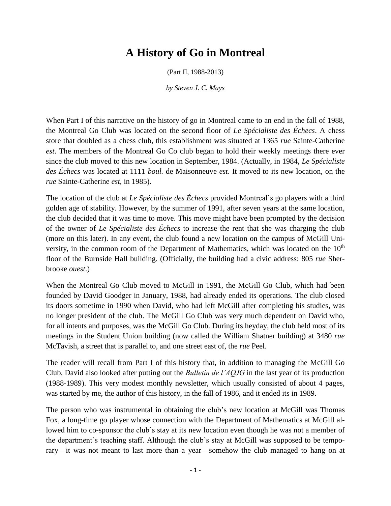## **A History of Go in Montreal**

(Part II, 1988-2013)

*by Steven J. C. Mays*

When Part I of this narrative on the history of go in Montreal came to an end in the fall of 1988, the Montreal Go Club was located on the second floor of *Le Spécialiste des Échecs*. A chess store that doubled as a chess club, this establishment was situated at 1365 *rue* Sainte-Catherine *est*. The members of the Montreal Go Co club began to hold their weekly meetings there ever since the club moved to this new location in September, 1984. (Actually, in 1984, *Le Spécialiste des Échecs* was located at 1111 *boul.* de Maisonneuve *est*. It moved to its new location, on the *rue* Sainte-Catherine *est*, in 1985).

The location of the club at *Le Spécialiste des Échecs* provided Montreal's go players with a third golden age of stability. However, by the summer of 1991, after seven years at the same location, the club decided that it was time to move. This move might have been prompted by the decision of the owner of *Le Spécialiste des Échecs* to increase the rent that she was charging the club (more on this later). In any event, the club found a new location on the campus of McGill University, in the common room of the Department of Mathematics, which was located on the  $10<sup>th</sup>$ floor of the Burnside Hall building. (Officially, the building had a civic address: 805 *rue* Sherbrooke *ouest*.)

When the Montreal Go Club moved to McGill in 1991, the McGill Go Club, which had been founded by David Goodger in January, 1988, had already ended its operations. The club closed its doors sometime in 1990 when David, who had left McGill after completing his studies, was no longer president of the club. The McGill Go Club was very much dependent on David who, for all intents and purposes, was the McGill Go Club. During its heyday, the club held most of its meetings in the Student Union building (now called the William Shatner building) at 3480 *rue* McTavish, a street that is parallel to, and one street east of, the *rue* Peel.

The reader will recall from Part I of this history that, in addition to managing the McGill Go Club, David also looked after putting out the *Bulletin de l'AQJG* in the last year of its production (1988-1989). This very modest monthly newsletter, which usually consisted of about 4 pages, was started by me, the author of this history, in the fall of 1986, and it ended its in 1989.

The person who was instrumental in obtaining the club's new location at McGill was Thomas Fox, a long-time go player whose connection with the Department of Mathematics at McGill allowed him to co-sponsor the club's stay at its new location even though he was not a member of the department's teaching staff. Although the club's stay at McGill was supposed to be temporary—it was not meant to last more than a year—somehow the club managed to hang on at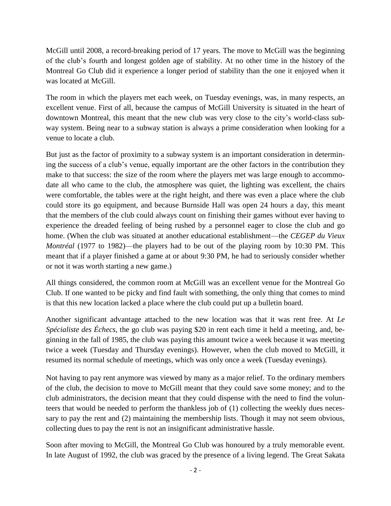McGill until 2008, a record-breaking period of 17 years. The move to McGill was the beginning of the club's fourth and longest golden age of stability. At no other time in the history of the Montreal Go Club did it experience a longer period of stability than the one it enjoyed when it was located at McGill.

The room in which the players met each week, on Tuesday evenings, was, in many respects, an excellent venue. First of all, because the campus of McGill University is situated in the heart of downtown Montreal, this meant that the new club was very close to the city's world-class subway system. Being near to a subway station is always a prime consideration when looking for a venue to locate a club.

But just as the factor of proximity to a subway system is an important consideration in determining the success of a club's venue, equally important are the other factors in the contribution they make to that success: the size of the room where the players met was large enough to accommodate all who came to the club, the atmosphere was quiet, the lighting was excellent, the chairs were comfortable, the tables were at the right height, and there was even a place where the club could store its go equipment, and because Burnside Hall was open 24 hours a day, this meant that the members of the club could always count on finishing their games without ever having to experience the dreaded feeling of being rushed by a personnel eager to close the club and go home. (When the club was situated at another educational establishment—the *CEGEP du Vieux Montréal* (1977 to 1982)—the players had to be out of the playing room by 10:30 PM. This meant that if a player finished a game at or about 9:30 PM, he had to seriously consider whether or not it was worth starting a new game.)

All things considered, the common room at McGill was an excellent venue for the Montreal Go Club. If one wanted to be picky and find fault with something, the only thing that comes to mind is that this new location lacked a place where the club could put up a bulletin board.

Another significant advantage attached to the new location was that it was rent free. At *Le Spécialiste des Échecs*, the go club was paying \$20 in rent each time it held a meeting, and, beginning in the fall of 1985, the club was paying this amount twice a week because it was meeting twice a week (Tuesday and Thursday evenings). However, when the club moved to McGill, it resumed its normal schedule of meetings, which was only once a week (Tuesday evenings).

Not having to pay rent anymore was viewed by many as a major relief. To the ordinary members of the club, the decision to move to McGill meant that they could save some money; and to the club administrators, the decision meant that they could dispense with the need to find the volunteers that would be needed to perform the thankless job of (1) collecting the weekly dues necessary to pay the rent and (2) maintaining the membership lists. Though it may not seem obvious, collecting dues to pay the rent is not an insignificant administrative hassle.

Soon after moving to McGill, the Montreal Go Club was honoured by a truly memorable event. In late August of 1992, the club was graced by the presence of a living legend. The Great Sakata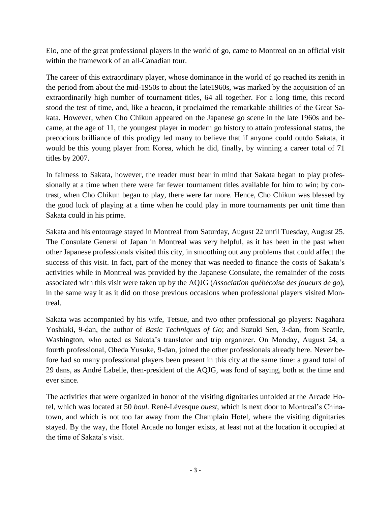Eio, one of the great professional players in the world of go, came to Montreal on an official visit within the framework of an all-Canadian tour.

The career of this extraordinary player, whose dominance in the world of go reached its zenith in the period from about the mid-1950s to about the late1960s, was marked by the acquisition of an extraordinarily high number of tournament titles, 64 all together. For a long time, this record stood the test of time, and, like a beacon, it proclaimed the remarkable abilities of the Great Sakata. However, when Cho Chikun appeared on the Japanese go scene in the late 1960s and became, at the age of 11, the youngest player in modern go history to attain professional status, the precocious brilliance of this prodigy led many to believe that if anyone could outdo Sakata, it would be this young player from Korea, which he did, finally, by winning a career total of 71 titles by 2007.

In fairness to Sakata, however, the reader must bear in mind that Sakata began to play professionally at a time when there were far fewer tournament titles available for him to win; by contrast, when Cho Chikun began to play, there were far more. Hence, Cho Chikun was blessed by the good luck of playing at a time when he could play in more tournaments per unit time than Sakata could in his prime.

Sakata and his entourage stayed in Montreal from Saturday, August 22 until Tuesday, August 25. The Consulate General of Japan in Montreal was very helpful, as it has been in the past when other Japanese professionals visited this city, in smoothing out any problems that could affect the success of this visit. In fact, part of the money that was needed to finance the costs of Sakata's activities while in Montreal was provided by the Japanese Consulate, the remainder of the costs associated with this visit were taken up by the AQJG (*Association québécoise des joueurs de go*), in the same way it as it did on those previous occasions when professional players visited Montreal.

Sakata was accompanied by his wife, Tetsue, and two other professional go players: Nagahara Yoshiaki, 9-dan, the author of *Basic Techniques of Go*; and Suzuki Sen, 3-dan, from Seattle, Washington, who acted as Sakata's translator and trip organizer. On Monday, August 24, a fourth professional, Oheda Yusuke, 9-dan, joined the other professionals already here. Never before had so many professional players been present in this city at the same time: a grand total of 29 dans, as André Labelle, then-president of the AQJG, was fond of saying, both at the time and ever since.

The activities that were organized in honor of the visiting dignitaries unfolded at the Arcade Hotel, which was located at 50 *boul.* René-Lévesque *ouest*, which is next door to Montreal's Chinatown, and which is not too far away from the Champlain Hotel, where the visiting dignitaries stayed. By the way, the Hotel Arcade no longer exists, at least not at the location it occupied at the time of Sakata's visit.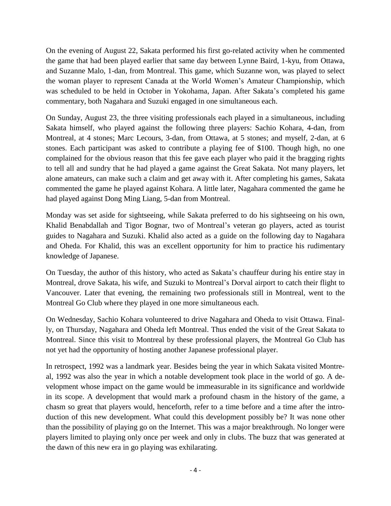On the evening of August 22, Sakata performed his first go-related activity when he commented the game that had been played earlier that same day between Lynne Baird, 1-kyu, from Ottawa, and Suzanne Malo, 1-dan, from Montreal. This game, which Suzanne won, was played to select the woman player to represent Canada at the World Women's Amateur Championship, which was scheduled to be held in October in Yokohama, Japan. After Sakata's completed his game commentary, both Nagahara and Suzuki engaged in one simultaneous each.

On Sunday, August 23, the three visiting professionals each played in a simultaneous, including Sakata himself, who played against the following three players: Sachio Kohara, 4-dan, from Montreal, at 4 stones; Marc Lecours, 3-dan, from Ottawa, at 5 stones; and myself, 2-dan, at 6 stones. Each participant was asked to contribute a playing fee of \$100. Though high, no one complained for the obvious reason that this fee gave each player who paid it the bragging rights to tell all and sundry that he had played a game against the Great Sakata. Not many players, let alone amateurs, can make such a claim and get away with it. After completing his games, Sakata commented the game he played against Kohara. A little later, Nagahara commented the game he had played against Dong Ming Liang, 5-dan from Montreal.

Monday was set aside for sightseeing, while Sakata preferred to do his sightseeing on his own, Khalid Benabdallah and Tigor Bognar, two of Montreal's veteran go players, acted as tourist guides to Nagahara and Suzuki. Khalid also acted as a guide on the following day to Nagahara and Oheda. For Khalid, this was an excellent opportunity for him to practice his rudimentary knowledge of Japanese.

On Tuesday, the author of this history, who acted as Sakata's chauffeur during his entire stay in Montreal, drove Sakata, his wife, and Suzuki to Montreal's Dorval airport to catch their flight to Vancouver. Later that evening, the remaining two professionals still in Montreal, went to the Montreal Go Club where they played in one more simultaneous each.

On Wednesday, Sachio Kohara volunteered to drive Nagahara and Oheda to visit Ottawa. Finally, on Thursday, Nagahara and Oheda left Montreal. Thus ended the visit of the Great Sakata to Montreal. Since this visit to Montreal by these professional players, the Montreal Go Club has not yet had the opportunity of hosting another Japanese professional player.

In retrospect, 1992 was a landmark year. Besides being the year in which Sakata visited Montreal, 1992 was also the year in which a notable development took place in the world of go. A development whose impact on the game would be immeasurable in its significance and worldwide in its scope. A development that would mark a profound chasm in the history of the game, a chasm so great that players would, henceforth, refer to a time before and a time after the introduction of this new development. What could this development possibly be? It was none other than the possibility of playing go on the Internet. This was a major breakthrough. No longer were players limited to playing only once per week and only in clubs. The buzz that was generated at the dawn of this new era in go playing was exhilarating.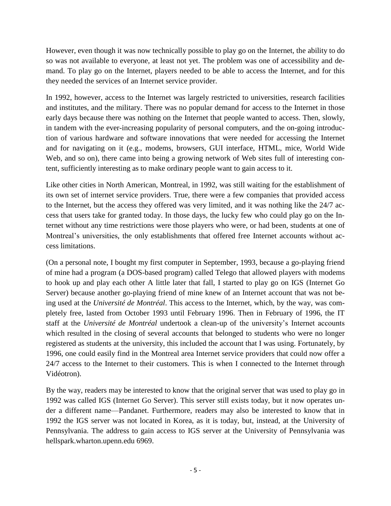However, even though it was now technically possible to play go on the Internet, the ability to do so was not available to everyone, at least not yet. The problem was one of accessibility and demand. To play go on the Internet, players needed to be able to access the Internet, and for this they needed the services of an Internet service provider.

In 1992, however, access to the Internet was largely restricted to universities, research facilities and institutes, and the military. There was no popular demand for access to the Internet in those early days because there was nothing on the Internet that people wanted to access. Then, slowly, in tandem with the ever-increasing popularity of personal computers, and the on-going introduction of various hardware and software innovations that were needed for accessing the Internet and for navigating on it (e.g., modems, browsers, GUI interface, HTML, mice, World Wide Web, and so on), there came into being a growing network of Web sites full of interesting content, sufficiently interesting as to make ordinary people want to gain access to it.

Like other cities in North American, Montreal, in 1992, was still waiting for the establishment of its own set of internet service providers. True, there were a few companies that provided access to the Internet, but the access they offered was very limited, and it was nothing like the 24/7 access that users take for granted today. In those days, the lucky few who could play go on the Internet without any time restrictions were those players who were, or had been, students at one of Montreal's universities, the only establishments that offered free Internet accounts without access limitations.

(On a personal note, I bought my first computer in September, 1993, because a go-playing friend of mine had a program (a DOS-based program) called Telego that allowed players with modems to hook up and play each other A little later that fall, I started to play go on IGS (Internet Go Server) because another go-playing friend of mine knew of an Internet account that was not being used at the *Université de Montréal*. This access to the Internet, which, by the way, was completely free, lasted from October 1993 until February 1996. Then in February of 1996, the IT staff at the *Université de Montréal* undertook a clean-up of the university's Internet accounts which resulted in the closing of several accounts that belonged to students who were no longer registered as students at the university, this included the account that I was using. Fortunately, by 1996, one could easily find in the Montreal area Internet service providers that could now offer a 24/7 access to the Internet to their customers. This is when I connected to the Internet through Vidéotron).

By the way, readers may be interested to know that the original server that was used to play go in 1992 was called IGS (Internet Go Server). This server still exists today, but it now operates under a different name—Pandanet. Furthermore, readers may also be interested to know that in 1992 the IGS server was not located in Korea, as it is today, but, instead, at the University of Pennsylvania. The address to gain access to IGS server at the University of Pennsylvania was hellspark.wharton.upenn.edu 6969.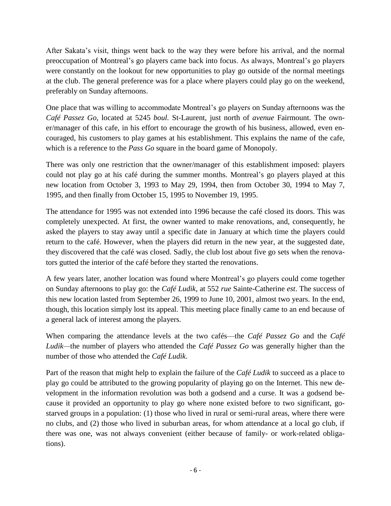After Sakata's visit, things went back to the way they were before his arrival, and the normal preoccupation of Montreal's go players came back into focus. As always, Montreal's go players were constantly on the lookout for new opportunities to play go outside of the normal meetings at the club. The general preference was for a place where players could play go on the weekend, preferably on Sunday afternoons.

One place that was willing to accommodate Montreal's go players on Sunday afternoons was the *Café Passez Go*, located at 5245 *boul.* St-Laurent, just north of *avenue* Fairmount. The owner/manager of this cafe, in his effort to encourage the growth of his business, allowed, even encouraged, his customers to play games at his establishment. This explains the name of the cafe, which is a reference to the *Pass Go* square in the board game of Monopoly.

There was only one restriction that the owner/manager of this establishment imposed: players could not play go at his café during the summer months. Montreal's go players played at this new location from October 3, 1993 to May 29, 1994, then from October 30, 1994 to May 7, 1995, and then finally from October 15, 1995 to November 19, 1995.

The attendance for 1995 was not extended into 1996 because the café closed its doors. This was completely unexpected. At first, the owner wanted to make renovations, and, consequently, he asked the players to stay away until a specific date in January at which time the players could return to the café. However, when the players did return in the new year, at the suggested date, they discovered that the café was closed. Sadly, the club lost about five go sets when the renovators gutted the interior of the café before they started the renovations.

A few years later, another location was found where Montreal's go players could come together on Sunday afternoons to play go: the *Café Ludik,* at 552 *rue* Sainte-Catherine *est*. The success of this new location lasted from September 26, 1999 to June 10, 2001, almost two years. In the end, though, this location simply lost its appeal. This meeting place finally came to an end because of a general lack of interest among the players.

When comparing the attendance levels at the two cafés—the *Café Passez Go* and the *Café Ludik—*the number of players who attended the *Café Passez Go* was generally higher than the number of those who attended the *Café Ludik*.

Part of the reason that might help to explain the failure of the *Café Ludik* to succeed as a place to play go could be attributed to the growing popularity of playing go on the Internet. This new development in the information revolution was both a godsend and a curse. It was a godsend because it provided an opportunity to play go where none existed before to two significant, gostarved groups in a population: (1) those who lived in rural or semi-rural areas, where there were no clubs, and (2) those who lived in suburban areas, for whom attendance at a local go club, if there was one, was not always convenient (either because of family- or work-related obligations).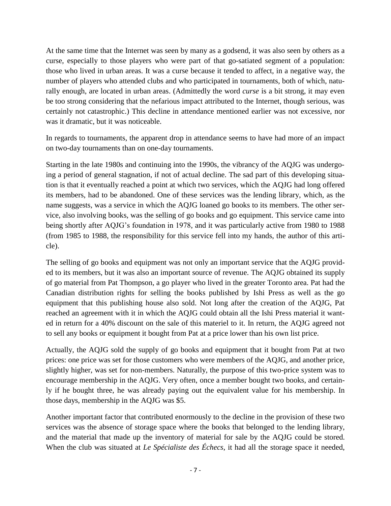At the same time that the Internet was seen by many as a godsend, it was also seen by others as a curse, especially to those players who were part of that go-satiated segment of a population: those who lived in urban areas. It was a curse because it tended to affect, in a negative way, the number of players who attended clubs and who participated in tournaments, both of which, naturally enough, are located in urban areas. (Admittedly the word *curse* is a bit strong, it may even be too strong considering that the nefarious impact attributed to the Internet, though serious, was certainly not catastrophic.) This decline in attendance mentioned earlier was not excessive, nor was it dramatic, but it was noticeable.

In regards to tournaments, the apparent drop in attendance seems to have had more of an impact on two-day tournaments than on one-day tournaments.

Starting in the late 1980s and continuing into the 1990s, the vibrancy of the AQJG was undergoing a period of general stagnation, if not of actual decline. The sad part of this developing situation is that it eventually reached a point at which two services, which the AQJG had long offered its members, had to be abandoned. One of these services was the lending library, which, as the name suggests, was a service in which the AQJG loaned go books to its members. The other service, also involving books, was the selling of go books and go equipment. This service came into being shortly after AQJG's foundation in 1978, and it was particularly active from 1980 to 1988 (from 1985 to 1988, the responsibility for this service fell into my hands, the author of this article).

The selling of go books and equipment was not only an important service that the AQJG provided to its members, but it was also an important source of revenue. The AQJG obtained its supply of go material from Pat Thompson, a go player who lived in the greater Toronto area. Pat had the Canadian distribution rights for selling the books published by Ishi Press as well as the go equipment that this publishing house also sold. Not long after the creation of the AQJG, Pat reached an agreement with it in which the AQJG could obtain all the Ishi Press material it wanted in return for a 40% discount on the sale of this materiel to it. In return, the AQJG agreed not to sell any books or equipment it bought from Pat at a price lower than his own list price.

Actually, the AQJG sold the supply of go books and equipment that it bought from Pat at two prices: one price was set for those customers who were members of the AQJG, and another price, slightly higher, was set for non-members. Naturally, the purpose of this two-price system was to encourage membership in the AQJG. Very often, once a member bought two books, and certainly if he bought three, he was already paying out the equivalent value for his membership. In those days, membership in the AQJG was \$5.

Another important factor that contributed enormously to the decline in the provision of these two services was the absence of storage space where the books that belonged to the lending library, and the material that made up the inventory of material for sale by the AQJG could be stored. When the club was situated at *Le Spécialiste des Échecs*, it had all the storage space it needed,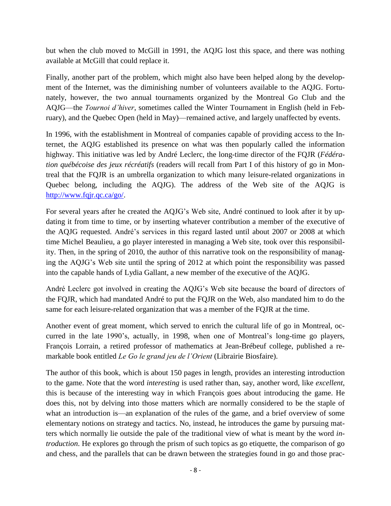but when the club moved to McGill in 1991, the AQJG lost this space, and there was nothing available at McGill that could replace it.

Finally, another part of the problem, which might also have been helped along by the development of the Internet, was the diminishing number of volunteers available to the AQJG. Fortunately, however, the two annual tournaments organized by the Montreal Go Club and the AQJG—the *Tournoi d'hiver*, sometimes called the Winter Tournament in English (held in February), and the Quebec Open (held in May)—remained active, and largely unaffected by events.

In 1996, with the establishment in Montreal of companies capable of providing access to the Internet, the AQJG established its presence on what was then popularly called the information highway. This initiative was led by André Leclerc, the long-time director of the FQJR (*Fédération québécoise des jeux récréatifs* (readers will recall from Part I of this history of go in Montreal that the FQJR is an umbrella organization to which many leisure-related organizations in Quebec belong, including the AQJG). The address of the Web site of the AQJG is [http://www.fqjr.qc.ca/go/.](http://www.fqjr.qc.ca/go/)

For several years after he created the AQJG's Web site, André continued to look after it by updating it from time to time, or by inserting whatever contribution a member of the executive of the AQJG requested. André's services in this regard lasted until about 2007 or 2008 at which time Michel Beaulieu, a go player interested in managing a Web site, took over this responsibility. Then, in the spring of 2010, the author of this narrative took on the responsibility of managing the AQJG's Web site until the spring of 2012 at which point the responsibility was passed into the capable hands of Lydia Gallant, a new member of the executive of the AQJG.

André Leclerc got involved in creating the AQJG's Web site because the board of directors of the FQJR, which had mandated André to put the FQJR on the Web, also mandated him to do the same for each leisure-related organization that was a member of the FQJR at the time.

Another event of great moment, which served to enrich the cultural life of go in Montreal, occurred in the late 1990's, actually, in 1998, when one of Montreal's long-time go players, François Lorrain, a retired professor of mathematics at Jean-Brébeuf college, published a remarkable book entitled *Le Go le grand jeu de l'Orient* (Librairie Biosfaire).

The author of this book, which is about 150 pages in length, provides an interesting introduction to the game. Note that the word *interesting* is used rather than, say, another word, like *excellent*, this is because of the interesting way in which François goes about introducing the game. He does this, not by delving into those matters which are normally considered to be the staple of what an introduction is—an explanation of the rules of the game, and a brief overview of some elementary notions on strategy and tactics. No, instead, he introduces the game by pursuing matters which normally lie outside the pale of the traditional view of what is meant by the word *introduction*. He explores go through the prism of such topics as go etiquette, the comparison of go and chess, and the parallels that can be drawn between the strategies found in go and those prac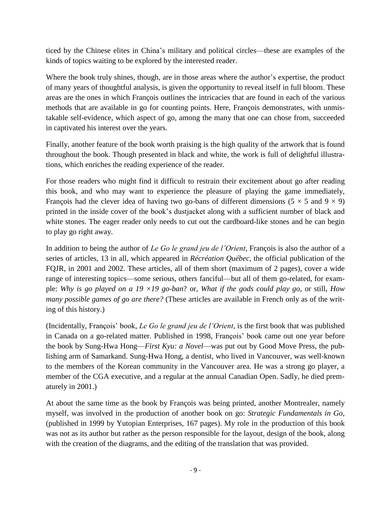ticed by the Chinese elites in China's military and political circles—these are examples of the kinds of topics waiting to be explored by the interested reader.

Where the book truly shines, though, are in those areas where the author's expertise, the product of many years of thoughtful analysis, is given the opportunity to reveal itself in full bloom. These areas are the ones in which François outlines the intricacies that are found in each of the various methods that are available in go for counting points. Here, François demonstrates, with unmistakable self-evidence, which aspect of go, among the many that one can chose from, succeeded in captivated his interest over the years.

Finally, another feature of the book worth praising is the high quality of the artwork that is found throughout the book. Though presented in black and white, the work is full of delightful illustrations, which enriches the reading experience of the reader.

For those readers who might find it difficult to restrain their excitement about go after reading this book, and who may want to experience the pleasure of playing the game immediately, François had the clever idea of having two go-bans of different dimensions ( $5 \times 5$  and  $9 \times 9$ ) printed in the inside cover of the book's dustjacket along with a sufficient number of black and white stones. The eager reader only needs to cut out the cardboard-like stones and he can begin to play go right away.

In addition to being the author of *Le Go le grand jeu de l'Orient*, François is also the author of a series of articles, 13 in all, which appeared in *Récréation Québec*, the official publication of the FQJR, in 2001 and 2002. These articles, all of them short (maximum of 2 pages), cover a wide range of interesting topics—some serious, others fanciful—but all of them go-related, for example: *Why is go played on a 19 ×19 go-ban*? or, *What if the gods could play go*, or still, *How many possible games of go are there?* (These articles are available in French only as of the writing of this history.)

(Incidentally, François' book, *Le Go le grand jeu de l'Orient*, is the first book that was published in Canada on a go-related matter. Published in 1998, François' book came out one year before the book by Sung-Hwa Hong—*First Kyu: a Novel*—was put out by Good Move Press, the publishing arm of Samarkand. Sung-Hwa Hong, a dentist, who lived in Vancouver, was well-known to the members of the Korean community in the Vancouver area. He was a strong go player, a member of the CGA executive, and a regular at the annual Canadian Open. Sadly, he died prematurely in 2001.)

At about the same time as the book by François was being printed, another Montrealer, namely myself, was involved in the production of another book on go: *Strategic Fundamentals in Go*, (published in 1999 by Yutopian Enterprises, 167 pages). My role in the production of this book was not as its author but rather as the person responsible for the layout, design of the book, along with the creation of the diagrams, and the editing of the translation that was provided.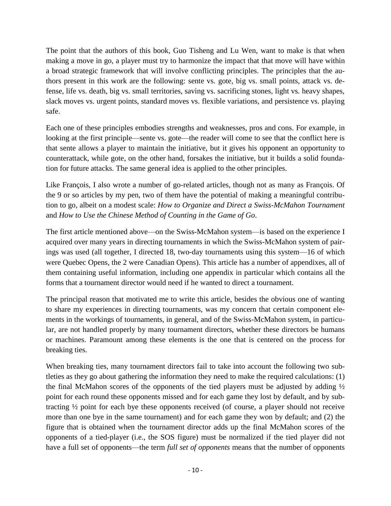The point that the authors of this book, Guo Tisheng and Lu Wen, want to make is that when making a move in go, a player must try to harmonize the impact that that move will have within a broad strategic framework that will involve conflicting principles. The principles that the authors present in this work are the following: sente vs. gote, big vs. small points, attack vs. defense, life vs. death, big vs. small territories, saving vs. sacrificing stones, light vs. heavy shapes, slack moves vs. urgent points, standard moves vs. flexible variations, and persistence vs. playing safe.

Each one of these principles embodies strengths and weaknesses, pros and cons. For example, in looking at the first principle—sente vs. gote—the reader will come to see that the conflict here is that sente allows a player to maintain the initiative, but it gives his opponent an opportunity to counterattack, while gote, on the other hand, forsakes the initiative, but it builds a solid foundation for future attacks. The same general idea is applied to the other principles.

Like François, I also wrote a number of go-related articles, though not as many as François. Of the 9 or so articles by my pen, two of them have the potential of making a meaningful contribution to go, albeit on a modest scale: *How to Organize and Direct a Swiss-McMahon Tournament* and *How to Use the Chinese Method of Counting in the Game of Go*.

The first article mentioned above—on the Swiss-McMahon system—is based on the experience I acquired over many years in directing tournaments in which the Swiss-McMahon system of pairings was used (all together, I directed 18, two-day tournaments using this system—16 of which were Quebec Opens, the 2 were Canadian Opens). This article has a number of appendixes, all of them containing useful information, including one appendix in particular which contains all the forms that a tournament director would need if he wanted to direct a tournament.

The principal reason that motivated me to write this article, besides the obvious one of wanting to share my experiences in directing tournaments, was my concern that certain component elements in the workings of tournaments, in general, and of the Swiss-McMahon system, in particular, are not handled properly by many tournament directors, whether these directors be humans or machines. Paramount among these elements is the one that is centered on the process for breaking ties.

When breaking ties, many tournament directors fail to take into account the following two subtleties as they go about gathering the information they need to make the required calculations: (1) the final McMahon scores of the opponents of the tied players must be adjusted by adding ½ point for each round these opponents missed and for each game they lost by default, and by subtracting ½ point for each bye these opponents received (of course, a player should not receive more than one bye in the same tournament) and for each game they won by default; and (2) the figure that is obtained when the tournament director adds up the final McMahon scores of the opponents of a tied-player (i.e., the SOS figure) must be normalized if the tied player did not have a full set of opponents—the term *full set of opponents* means that the number of opponents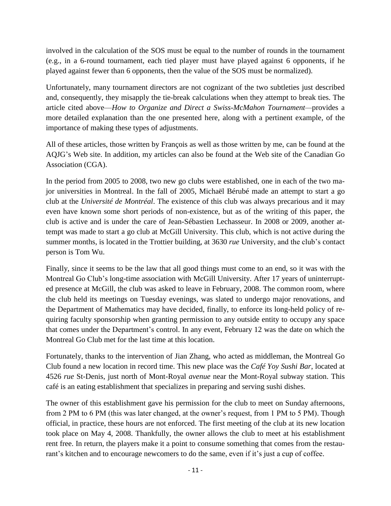involved in the calculation of the SOS must be equal to the number of rounds in the tournament (e.g., in a 6-round tournament, each tied player must have played against 6 opponents, if he played against fewer than 6 opponents, then the value of the SOS must be normalized).

Unfortunately, many tournament directors are not cognizant of the two subtleties just described and, consequently, they misapply the tie-break calculations when they attempt to break ties. The article cited above—*How to Organize and Direct a Swiss-McMahon Tournament—*provides a more detailed explanation than the one presented here, along with a pertinent example, of the importance of making these types of adjustments.

All of these articles, those written by François as well as those written by me, can be found at the AQJG's Web site. In addition, my articles can also be found at the Web site of the Canadian Go Association (CGA).

In the period from 2005 to 2008, two new go clubs were established, one in each of the two major universities in Montreal. In the fall of 2005, Michaël Bérubé made an attempt to start a go club at the *Université de Montréal*. The existence of this club was always precarious and it may even have known some short periods of non-existence, but as of the writing of this paper, the club is active and is under the care of Jean-Sébastien Lechasseur. In 2008 or 2009, another attempt was made to start a go club at McGill University. This club, which is not active during the summer months, is located in the Trottier building, at 3630 *rue* University, and the club's contact person is Tom Wu.

Finally, since it seems to be the law that all good things must come to an end, so it was with the Montreal Go Club's long-time association with McGill University. After 17 years of uninterrupted presence at McGill, the club was asked to leave in February, 2008. The common room, where the club held its meetings on Tuesday evenings, was slated to undergo major renovations, and the Department of Mathematics may have decided, finally, to enforce its long-held policy of requiring faculty sponsorship when granting permission to any outside entity to occupy any space that comes under the Department's control. In any event, February 12 was the date on which the Montreal Go Club met for the last time at this location.

Fortunately, thanks to the intervention of Jian Zhang, who acted as middleman, the Montreal Go Club found a new location in record time. This new place was the *Café Yoy Sushi Bar*, located at 4526 *rue* St-Denis, just north of Mont-Royal *avenue* near the Mont-Royal subway station. This café is an eating establishment that specializes in preparing and serving sushi dishes.

The owner of this establishment gave his permission for the club to meet on Sunday afternoons, from 2 PM to 6 PM (this was later changed, at the owner's request, from 1 PM to 5 PM). Though official, in practice, these hours are not enforced. The first meeting of the club at its new location took place on May 4, 2008. Thankfully, the owner allows the club to meet at his establishment rent free. In return, the players make it a point to consume something that comes from the restaurant's kitchen and to encourage newcomers to do the same, even if it's just a cup of coffee.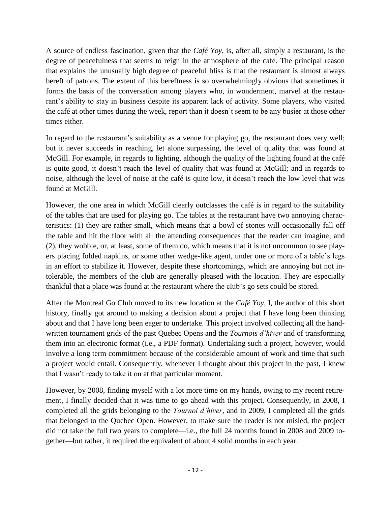A source of endless fascination, given that the *Café Yoy*, is, after all, simply a restaurant, is the degree of peacefulness that seems to reign in the atmosphere of the café. The principal reason that explains the unusually high degree of peaceful bliss is that the restaurant is almost always bereft of patrons. The extent of this bereftness is so overwhelmingly obvious that sometimes it forms the basis of the conversation among players who, in wonderment, marvel at the restaurant's ability to stay in business despite its apparent lack of activity. Some players, who visited the café at other times during the week, report than it doesn't seem to be any busier at those other times either.

In regard to the restaurant's suitability as a venue for playing go, the restaurant does very well; but it never succeeds in reaching, let alone surpassing, the level of quality that was found at McGill. For example, in regards to lighting, although the quality of the lighting found at the café is quite good, it doesn't reach the level of quality that was found at McGill; and in regards to noise, although the level of noise at the café is quite low, it doesn't reach the low level that was found at McGill.

However, the one area in which McGill clearly outclasses the café is in regard to the suitability of the tables that are used for playing go. The tables at the restaurant have two annoying characteristics: (1) they are rather small, which means that a bowl of stones will occasionally fall off the table and hit the floor with all the attending consequences that the reader can imagine; and (2), they wobble, or, at least, some of them do, which means that it is not uncommon to see players placing folded napkins, or some other wedge-like agent, under one or more of a table's legs in an effort to stabilize it. However, despite these shortcomings, which are annoying but not intolerable, the members of the club are generally pleased with the location. They are especially thankful that a place was found at the restaurant where the club's go sets could be stored.

After the Montreal Go Club moved to its new location at the *Café Yoy*, I, the author of this short history, finally got around to making a decision about a project that I have long been thinking about and that I have long been eager to undertake. This project involved collecting all the handwritten tournament grids of the past Quebec Opens and the *Tournois d'hiver* and of transforming them into an electronic format (i.e., a PDF format). Undertaking such a project, however, would involve a long term commitment because of the considerable amount of work and time that such a project would entail. Consequently, whenever I thought about this project in the past, I knew that I wasn't ready to take it on at that particular moment.

However, by 2008, finding myself with a lot more time on my hands, owing to my recent retirement, I finally decided that it was time to go ahead with this project. Consequently, in 2008, I completed all the grids belonging to the *Tournoi d'hiver*, and in 2009, I completed all the grids that belonged to the Quebec Open. However, to make sure the reader is not misled, the project did not take the full two years to complete—i.e., the full 24 months found in 2008 and 2009 together—but rather, it required the equivalent of about 4 solid months in each year.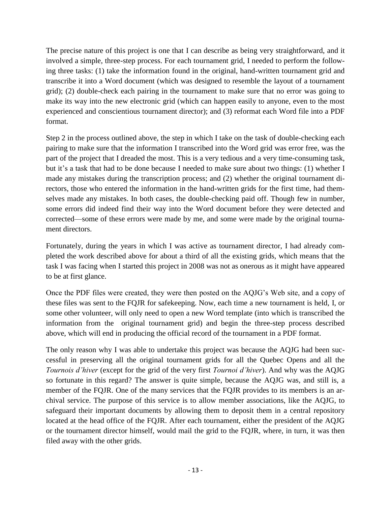The precise nature of this project is one that I can describe as being very straightforward, and it involved a simple, three-step process. For each tournament grid, I needed to perform the following three tasks: (1) take the information found in the original, hand-written tournament grid and transcribe it into a Word document (which was designed to resemble the layout of a tournament grid); (2) double-check each pairing in the tournament to make sure that no error was going to make its way into the new electronic grid (which can happen easily to anyone, even to the most experienced and conscientious tournament director); and (3) reformat each Word file into a PDF format.

Step 2 in the process outlined above, the step in which I take on the task of double-checking each pairing to make sure that the information I transcribed into the Word grid was error free, was the part of the project that I dreaded the most. This is a very tedious and a very time-consuming task, but it's a task that had to be done because I needed to make sure about two things: (1) whether I made any mistakes during the transcription process; and (2) whether the original tournament directors, those who entered the information in the hand-written grids for the first time, had themselves made any mistakes. In both cases, the double-checking paid off. Though few in number, some errors did indeed find their way into the Word document before they were detected and corrected—some of these errors were made by me, and some were made by the original tournament directors.

Fortunately, during the years in which I was active as tournament director, I had already completed the work described above for about a third of all the existing grids, which means that the task I was facing when I started this project in 2008 was not as onerous as it might have appeared to be at first glance.

Once the PDF files were created, they were then posted on the AQJG's Web site, and a copy of these files was sent to the FQJR for safekeeping. Now, each time a new tournament is held, I, or some other volunteer, will only need to open a new Word template (into which is transcribed the information from the original tournament grid) and begin the three-step process described above, which will end in producing the official record of the tournament in a PDF format.

The only reason why I was able to undertake this project was because the AQJG had been successful in preserving all the original tournament grids for all the Quebec Opens and all the *Tournois d'hiver* (except for the grid of the very first *Tournoi d'hiver*). And why was the AQJG so fortunate in this regard? The answer is quite simple, because the AQJG was, and still is, a member of the FQJR. One of the many services that the FQJR provides to its members is an archival service. The purpose of this service is to allow member associations, like the AQJG, to safeguard their important documents by allowing them to deposit them in a central repository located at the head office of the FQJR. After each tournament, either the president of the AQJG or the tournament director himself, would mail the grid to the FQJR, where, in turn, it was then filed away with the other grids.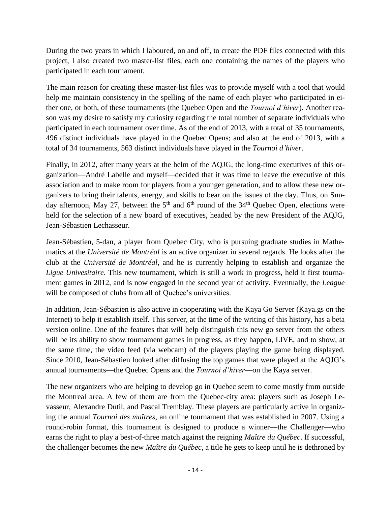During the two years in which I laboured, on and off, to create the PDF files connected with this project, I also created two master-list files, each one containing the names of the players who participated in each tournament.

The main reason for creating these master-list files was to provide myself with a tool that would help me maintain consistency in the spelling of the name of each player who participated in either one, or both, of these tournaments (the Quebec Open and the *Tournoi d'hiver*). Another reason was my desire to satisfy my curiosity regarding the total number of separate individuals who participated in each tournament over time. As of the end of 2013, with a total of 35 tournaments, 496 distinct individuals have played in the Quebec Opens; and also at the end of 2013, with a total of 34 tournaments, 563 distinct individuals have played in the *Tournoi d'hiver*.

Finally, in 2012, after many years at the helm of the AQJG, the long-time executives of this organization—André Labelle and myself—decided that it was time to leave the executive of this association and to make room for players from a younger generation, and to allow these new organizers to bring their talents, energy, and skills to bear on the issues of the day. Thus, on Sunday afternoon, May 27, between the  $5<sup>th</sup>$  and  $6<sup>th</sup>$  round of the 34<sup>th</sup> Quebec Open, elections were held for the selection of a new board of executives, headed by the new President of the AQJG, Jean-Sébastien Lechasseur.

Jean-Sébastien, 5-dan, a player from Quebec City, who is pursuing graduate studies in Mathematics at the *Université de Montréal* is an active organizer in several regards. He looks after the club at the *Université de Montréal*, and he is currently helping to establish and organize the *Ligue Univesitaire*. This new tournament, which is still a work in progress, held it first tournament games in 2012, and is now engaged in the second year of activity. Eventually, the *League* will be composed of clubs from all of Quebec's universities.

In addition, Jean-Sébastien is also active in cooperating with the Kaya Go Server (Kaya.gs on the Internet) to help it establish itself. This server, at the time of the writing of this history, has a beta version online. One of the features that will help distinguish this new go server from the others will be its ability to show tournament games in progress, as they happen, LIVE, and to show, at the same time, the video feed (via webcam) of the players playing the game being displayed. Since 2010, Jean-Sébastien looked after diffusing the top games that were played at the AQJG's annual tournaments—the Quebec Opens and the *Tournoi d'hiver*—on the Kaya server.

The new organizers who are helping to develop go in Quebec seem to come mostly from outside the Montreal area. A few of them are from the Quebec-city area: players such as Joseph Levasseur, Alexandre Dutil, and Pascal Tremblay. These players are particularly active in organizing the annual *Tournoi des maîtres*, an online tournament that was established in 2007. Using a round-robin format, this tournament is designed to produce a winner—the Challenger—who earns the right to play a best-of-three match against the reigning *Maître du Québec*. If successful, the challenger becomes the new *Maître du Québec*, a title he gets to keep until he is dethroned by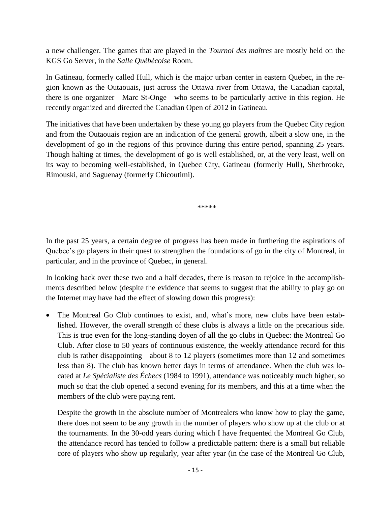a new challenger. The games that are played in the *Tournoi des maîtres* are mostly held on the KGS Go Server, in the *Salle Québécoise* Room.

In Gatineau, formerly called Hull, which is the major urban center in eastern Quebec, in the region known as the Outaouais, just across the Ottawa river from Ottawa, the Canadian capital, there is one organizer—Marc St-Onge—who seems to be particularly active in this region. He recently organized and directed the Canadian Open of 2012 in Gatineau.

The initiatives that have been undertaken by these young go players from the Quebec City region and from the Outaouais region are an indication of the general growth, albeit a slow one, in the development of go in the regions of this province during this entire period, spanning 25 years. Though halting at times, the development of go is well established, or, at the very least, well on its way to becoming well-established, in Quebec City, Gatineau (formerly Hull), Sherbrooke, Rimouski, and Saguenay (formerly Chicoutimi).

\*\*\*\*\*

In the past 25 years, a certain degree of progress has been made in furthering the aspirations of Quebec's go players in their quest to strengthen the foundations of go in the city of Montreal, in particular, and in the province of Quebec, in general.

In looking back over these two and a half decades, there is reason to rejoice in the accomplishments described below (despite the evidence that seems to suggest that the ability to play go on the Internet may have had the effect of slowing down this progress):

 The Montreal Go Club continues to exist, and, what's more, new clubs have been established. However, the overall strength of these clubs is always a little on the precarious side. This is true even for the long-standing doyen of all the go clubs in Quebec: the Montreal Go Club. After close to 50 years of continuous existence, the weekly attendance record for this club is rather disappointing—about 8 to 12 players (sometimes more than 12 and sometimes less than 8). The club has known better days in terms of attendance. When the club was located at *Le Spécialiste des Échecs* (1984 to 1991), attendance was noticeably much higher, so much so that the club opened a second evening for its members, and this at a time when the members of the club were paying rent.

Despite the growth in the absolute number of Montrealers who know how to play the game, there does not seem to be any growth in the number of players who show up at the club or at the tournaments. In the 30-odd years during which I have frequented the Montreal Go Club, the attendance record has tended to follow a predictable pattern: there is a small but reliable core of players who show up regularly, year after year (in the case of the Montreal Go Club,